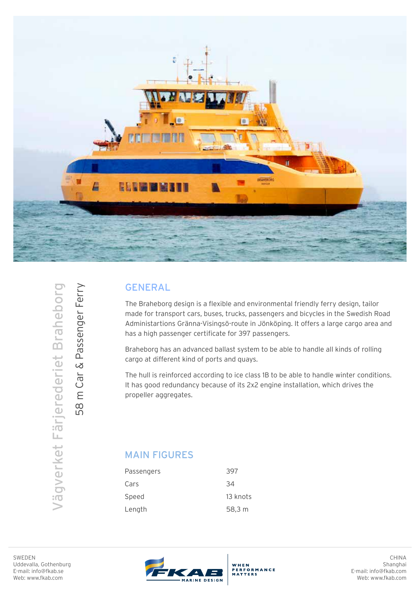

## GENERAL

The Braheborg design is a flexible and environmental friendly ferry design, tailor made for transport cars, buses, trucks, passengers and bicycles in the Swedish Road Administartions Gränna-Visingsö-route in Jönköping. It offers a large cargo area and has a high passenger certificate for 397 passengers.

Braheborg has an advanced ballast system to be able to handle all kinds of rolling cargo at different kind of ports and quays.

The hull is reinforced according to ice class 1B to be able to handle winter conditions. It has good redundancy because of its 2x2 engine installation, which drives the propeller aggregates.

## MAIN FIGURES

| Passengers | 397      |
|------------|----------|
| Cars       | 34       |
| Speed      | 13 knots |
| Length     | 58,3 m   |